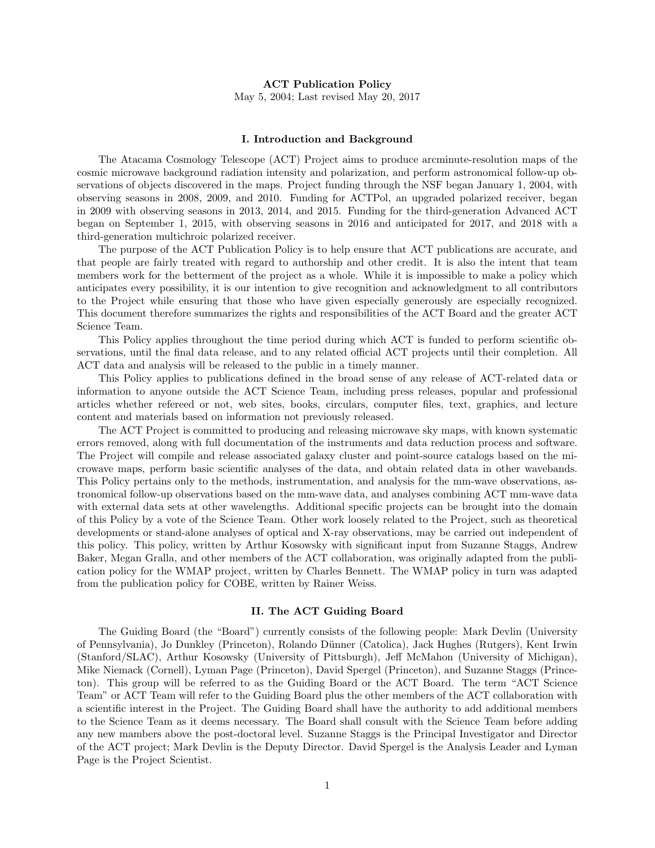### ACT Publication Policy

May 5, 2004; Last revised May 20, 2017

### I. Introduction and Background

The Atacama Cosmology Telescope (ACT) Project aims to produce arcminute-resolution maps of the cosmic microwave background radiation intensity and polarization, and perform astronomical follow-up observations of objects discovered in the maps. Project funding through the NSF began January 1, 2004, with observing seasons in 2008, 2009, and 2010. Funding for ACTPol, an upgraded polarized receiver, began in 2009 with observing seasons in 2013, 2014, and 2015. Funding for the third-generation Advanced ACT began on September 1, 2015, with observing seasons in 2016 and anticipated for 2017, and 2018 with a third-generation multichroic polarized receiver.

The purpose of the ACT Publication Policy is to help ensure that ACT publications are accurate, and that people are fairly treated with regard to authorship and other credit. It is also the intent that team members work for the betterment of the project as a whole. While it is impossible to make a policy which anticipates every possibility, it is our intention to give recognition and acknowledgment to all contributors to the Project while ensuring that those who have given especially generously are especially recognized. This document therefore summarizes the rights and responsibilities of the ACT Board and the greater ACT Science Team.

This Policy applies throughout the time period during which ACT is funded to perform scientific observations, until the final data release, and to any related official ACT projects until their completion. All ACT data and analysis will be released to the public in a timely manner.

This Policy applies to publications defined in the broad sense of any release of ACT-related data or information to anyone outside the ACT Science Team, including press releases, popular and professional articles whether refereed or not, web sites, books, circulars, computer files, text, graphics, and lecture content and materials based on information not previously released.

The ACT Project is committed to producing and releasing microwave sky maps, with known systematic errors removed, along with full documentation of the instruments and data reduction process and software. The Project will compile and release associated galaxy cluster and point-source catalogs based on the microwave maps, perform basic scientific analyses of the data, and obtain related data in other wavebands. This Policy pertains only to the methods, instrumentation, and analysis for the mm-wave observations, astronomical follow-up observations based on the mm-wave data, and analyses combining ACT mm-wave data with external data sets at other wavelengths. Additional specific projects can be brought into the domain of this Policy by a vote of the Science Team. Other work loosely related to the Project, such as theoretical developments or stand-alone analyses of optical and X-ray observations, may be carried out independent of this policy. This policy, written by Arthur Kosowsky with significant input from Suzanne Staggs, Andrew Baker, Megan Gralla, and other members of the ACT collaboration, was originally adapted from the publication policy for the WMAP project, written by Charles Bennett. The WMAP policy in turn was adapted from the publication policy for COBE, written by Rainer Weiss.

### II. The ACT Guiding Board

The Guiding Board (the "Board") currently consists of the following people: Mark Devlin (University of Pennsylvania), Jo Dunkley (Princeton), Rolando D¨unner (Catolica), Jack Hughes (Rutgers), Kent Irwin (Stanford/SLAC), Arthur Kosowsky (University of Pittsburgh), Jeff McMahon (University of Michigan), Mike Niemack (Cornell), Lyman Page (Princeton), David Spergel (Princeton), and Suzanne Staggs (Princeton). This group will be referred to as the Guiding Board or the ACT Board. The term "ACT Science Team" or ACT Team will refer to the Guiding Board plus the other members of the ACT collaboration with a scientific interest in the Project. The Guiding Board shall have the authority to add additional members to the Science Team as it deems necessary. The Board shall consult with the Science Team before adding any new mambers above the post-doctoral level. Suzanne Staggs is the Principal Investigator and Director of the ACT project; Mark Devlin is the Deputy Director. David Spergel is the Analysis Leader and Lyman Page is the Project Scientist.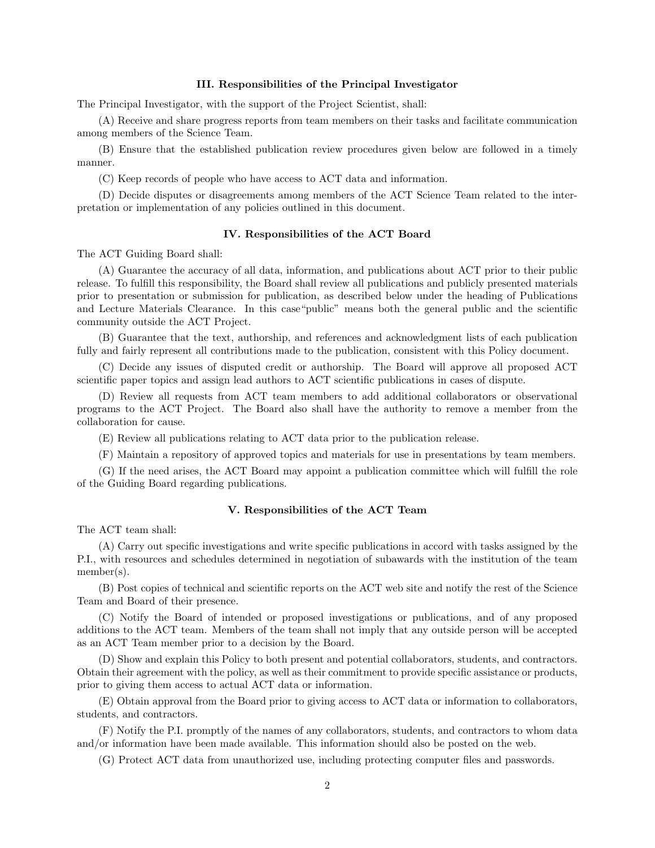#### III. Responsibilities of the Principal Investigator

The Principal Investigator, with the support of the Project Scientist, shall:

(A) Receive and share progress reports from team members on their tasks and facilitate communication among members of the Science Team.

(B) Ensure that the established publication review procedures given below are followed in a timely manner.

(C) Keep records of people who have access to ACT data and information.

(D) Decide disputes or disagreements among members of the ACT Science Team related to the interpretation or implementation of any policies outlined in this document.

### IV. Responsibilities of the ACT Board

The ACT Guiding Board shall:

(A) Guarantee the accuracy of all data, information, and publications about ACT prior to their public release. To fulfill this responsibility, the Board shall review all publications and publicly presented materials prior to presentation or submission for publication, as described below under the heading of Publications and Lecture Materials Clearance. In this case"public" means both the general public and the scientific community outside the ACT Project.

(B) Guarantee that the text, authorship, and references and acknowledgment lists of each publication fully and fairly represent all contributions made to the publication, consistent with this Policy document.

(C) Decide any issues of disputed credit or authorship. The Board will approve all proposed ACT scientific paper topics and assign lead authors to ACT scientific publications in cases of dispute.

(D) Review all requests from ACT team members to add additional collaborators or observational programs to the ACT Project. The Board also shall have the authority to remove a member from the collaboration for cause.

(E) Review all publications relating to ACT data prior to the publication release.

(F) Maintain a repository of approved topics and materials for use in presentations by team members.

(G) If the need arises, the ACT Board may appoint a publication committee which will fulfill the role of the Guiding Board regarding publications.

# V. Responsibilities of the ACT Team

The ACT team shall:

(A) Carry out specific investigations and write specific publications in accord with tasks assigned by the P.I., with resources and schedules determined in negotiation of subawards with the institution of the team member(s).

(B) Post copies of technical and scientific reports on the ACT web site and notify the rest of the Science Team and Board of their presence.

(C) Notify the Board of intended or proposed investigations or publications, and of any proposed additions to the ACT team. Members of the team shall not imply that any outside person will be accepted as an ACT Team member prior to a decision by the Board.

(D) Show and explain this Policy to both present and potential collaborators, students, and contractors. Obtain their agreement with the policy, as well as their commitment to provide specific assistance or products, prior to giving them access to actual ACT data or information.

(E) Obtain approval from the Board prior to giving access to ACT data or information to collaborators, students, and contractors.

(F) Notify the P.I. promptly of the names of any collaborators, students, and contractors to whom data and/or information have been made available. This information should also be posted on the web.

(G) Protect ACT data from unauthorized use, including protecting computer files and passwords.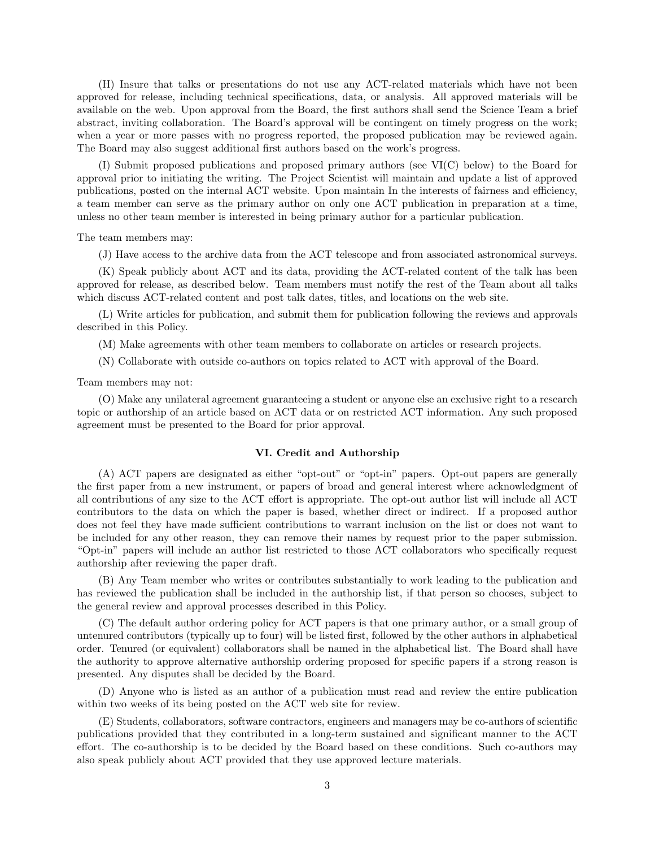(H) Insure that talks or presentations do not use any ACT-related materials which have not been approved for release, including technical specifications, data, or analysis. All approved materials will be available on the web. Upon approval from the Board, the first authors shall send the Science Team a brief abstract, inviting collaboration. The Board's approval will be contingent on timely progress on the work; when a year or more passes with no progress reported, the proposed publication may be reviewed again. The Board may also suggest additional first authors based on the work's progress.

(I) Submit proposed publications and proposed primary authors (see VI(C) below) to the Board for approval prior to initiating the writing. The Project Scientist will maintain and update a list of approved publications, posted on the internal ACT website. Upon maintain In the interests of fairness and efficiency, a team member can serve as the primary author on only one ACT publication in preparation at a time, unless no other team member is interested in being primary author for a particular publication.

The team members may:

(J) Have access to the archive data from the ACT telescope and from associated astronomical surveys.

(K) Speak publicly about ACT and its data, providing the ACT-related content of the talk has been approved for release, as described below. Team members must notify the rest of the Team about all talks which discuss ACT-related content and post talk dates, titles, and locations on the web site.

(L) Write articles for publication, and submit them for publication following the reviews and approvals described in this Policy.

(M) Make agreements with other team members to collaborate on articles or research projects.

(N) Collaborate with outside co-authors on topics related to ACT with approval of the Board.

Team members may not:

(O) Make any unilateral agreement guaranteeing a student or anyone else an exclusive right to a research topic or authorship of an article based on ACT data or on restricted ACT information. Any such proposed agreement must be presented to the Board for prior approval.

# VI. Credit and Authorship

(A) ACT papers are designated as either "opt-out" or "opt-in" papers. Opt-out papers are generally the first paper from a new instrument, or papers of broad and general interest where acknowledgment of all contributions of any size to the ACT effort is appropriate. The opt-out author list will include all ACT contributors to the data on which the paper is based, whether direct or indirect. If a proposed author does not feel they have made sufficient contributions to warrant inclusion on the list or does not want to be included for any other reason, they can remove their names by request prior to the paper submission. "Opt-in" papers will include an author list restricted to those ACT collaborators who specifically request authorship after reviewing the paper draft.

(B) Any Team member who writes or contributes substantially to work leading to the publication and has reviewed the publication shall be included in the authorship list, if that person so chooses, subject to the general review and approval processes described in this Policy.

(C) The default author ordering policy for ACT papers is that one primary author, or a small group of untenured contributors (typically up to four) will be listed first, followed by the other authors in alphabetical order. Tenured (or equivalent) collaborators shall be named in the alphabetical list. The Board shall have the authority to approve alternative authorship ordering proposed for specific papers if a strong reason is presented. Any disputes shall be decided by the Board.

(D) Anyone who is listed as an author of a publication must read and review the entire publication within two weeks of its being posted on the ACT web site for review.

(E) Students, collaborators, software contractors, engineers and managers may be co-authors of scientific publications provided that they contributed in a long-term sustained and significant manner to the ACT effort. The co-authorship is to be decided by the Board based on these conditions. Such co-authors may also speak publicly about ACT provided that they use approved lecture materials.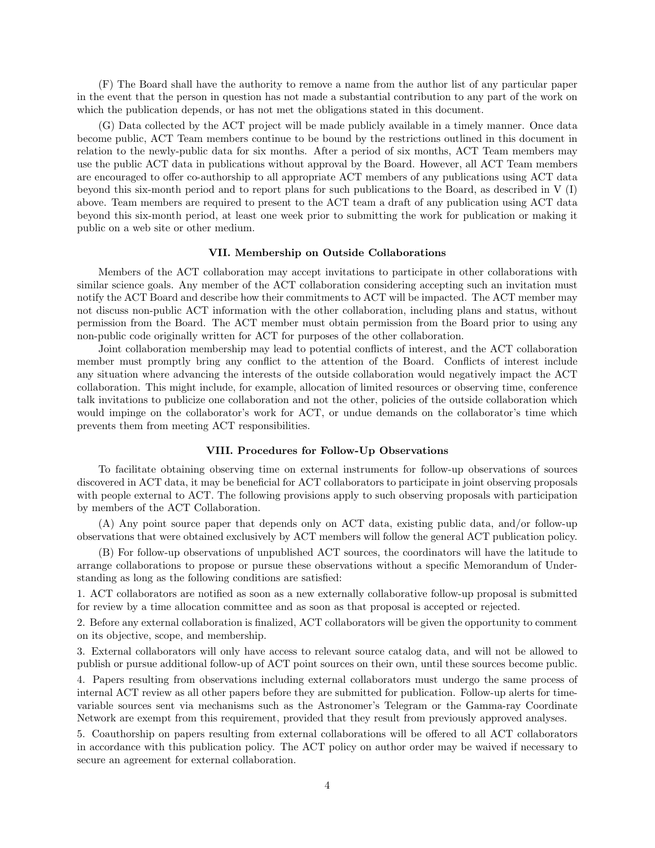(F) The Board shall have the authority to remove a name from the author list of any particular paper in the event that the person in question has not made a substantial contribution to any part of the work on which the publication depends, or has not met the obligations stated in this document.

(G) Data collected by the ACT project will be made publicly available in a timely manner. Once data become public, ACT Team members continue to be bound by the restrictions outlined in this document in relation to the newly-public data for six months. After a period of six months, ACT Team members may use the public ACT data in publications without approval by the Board. However, all ACT Team members are encouraged to offer co-authorship to all appropriate ACT members of any publications using ACT data beyond this six-month period and to report plans for such publications to the Board, as described in V (I) above. Team members are required to present to the ACT team a draft of any publication using ACT data beyond this six-month period, at least one week prior to submitting the work for publication or making it public on a web site or other medium.

#### VII. Membership on Outside Collaborations

Members of the ACT collaboration may accept invitations to participate in other collaborations with similar science goals. Any member of the ACT collaboration considering accepting such an invitation must notify the ACT Board and describe how their commitments to ACT will be impacted. The ACT member may not discuss non-public ACT information with the other collaboration, including plans and status, without permission from the Board. The ACT member must obtain permission from the Board prior to using any non-public code originally written for ACT for purposes of the other collaboration.

Joint collaboration membership may lead to potential conflicts of interest, and the ACT collaboration member must promptly bring any conflict to the attention of the Board. Conflicts of interest include any situation where advancing the interests of the outside collaboration would negatively impact the ACT collaboration. This might include, for example, allocation of limited resources or observing time, conference talk invitations to publicize one collaboration and not the other, policies of the outside collaboration which would impinge on the collaborator's work for ACT, or undue demands on the collaborator's time which prevents them from meeting ACT responsibilities.

#### VIII. Procedures for Follow-Up Observations

To facilitate obtaining observing time on external instruments for follow-up observations of sources discovered in ACT data, it may be beneficial for ACT collaborators to participate in joint observing proposals with people external to ACT. The following provisions apply to such observing proposals with participation by members of the ACT Collaboration.

(A) Any point source paper that depends only on ACT data, existing public data, and/or follow-up observations that were obtained exclusively by ACT members will follow the general ACT publication policy.

(B) For follow-up observations of unpublished ACT sources, the coordinators will have the latitude to arrange collaborations to propose or pursue these observations without a specific Memorandum of Understanding as long as the following conditions are satisfied:

1. ACT collaborators are notified as soon as a new externally collaborative follow-up proposal is submitted for review by a time allocation committee and as soon as that proposal is accepted or rejected.

2. Before any external collaboration is finalized, ACT collaborators will be given the opportunity to comment on its objective, scope, and membership.

3. External collaborators will only have access to relevant source catalog data, and will not be allowed to publish or pursue additional follow-up of ACT point sources on their own, until these sources become public.

4. Papers resulting from observations including external collaborators must undergo the same process of internal ACT review as all other papers before they are submitted for publication. Follow-up alerts for timevariable sources sent via mechanisms such as the Astronomer's Telegram or the Gamma-ray Coordinate Network are exempt from this requirement, provided that they result from previously approved analyses.

5. Coauthorship on papers resulting from external collaborations will be offered to all ACT collaborators in accordance with this publication policy. The ACT policy on author order may be waived if necessary to secure an agreement for external collaboration.